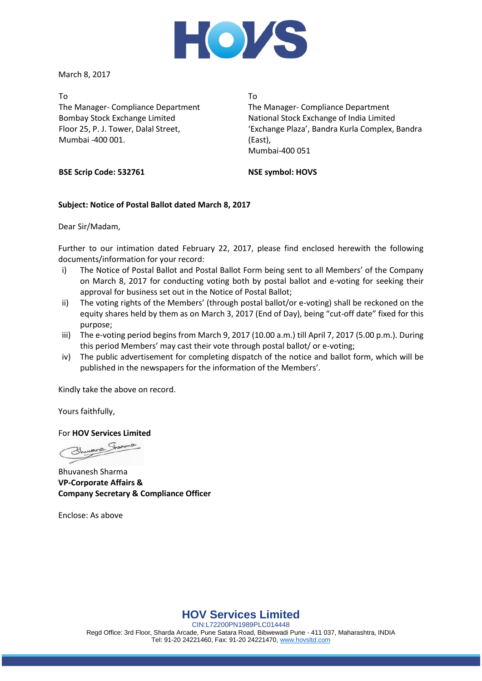

March 8, 2017

To The Manager- Compliance Department Bombay Stock Exchange Limited Floor 25, P. J. Tower, Dalal Street, Mumbai -400 001.

To

The Manager- Compliance Department National Stock Exchange of India Limited 'Exchange Plaza', Bandra Kurla Complex, Bandra (East), Mumbai-400 051

**BSE Scrip Code: 532761**

## **NSE symbol: HOVS**

# **Subject: Notice of Postal Ballot dated March 8, 2017**

Dear Sir/Madam,

Further to our intimation dated February 22, 2017, please find enclosed herewith the following documents/information for your record:

- i) The Notice of Postal Ballot and Postal Ballot Form being sent to all Members' of the Company on March 8, 2017 for conducting voting both by postal ballot and e-voting for seeking their approval for business set out in the Notice of Postal Ballot;
- ii) The voting rights of the Members' (through postal ballot/or e-voting) shall be reckoned on the equity shares held by them as on March 3, 2017 (End of Day), being "cut-off date" fixed for this purpose;
- iii) The e-voting period begins from March 9, 2017 (10.00 a.m.) till April 7, 2017 (5.00 p.m.). During this period Members' may cast their vote through postal ballot/ or e-voting;
- iv) The public advertisement for completing dispatch of the notice and ballot form, which will be published in the newspapers for the information of the Members'.

Kindly take the above on record.

Yours faithfully,

For **HOV Services Limited**

ane

Bhuvanesh Sharma **VP-Corporate Affairs & Company Secretary & Compliance Officer**

Enclose: As above

**HOV Services Limited**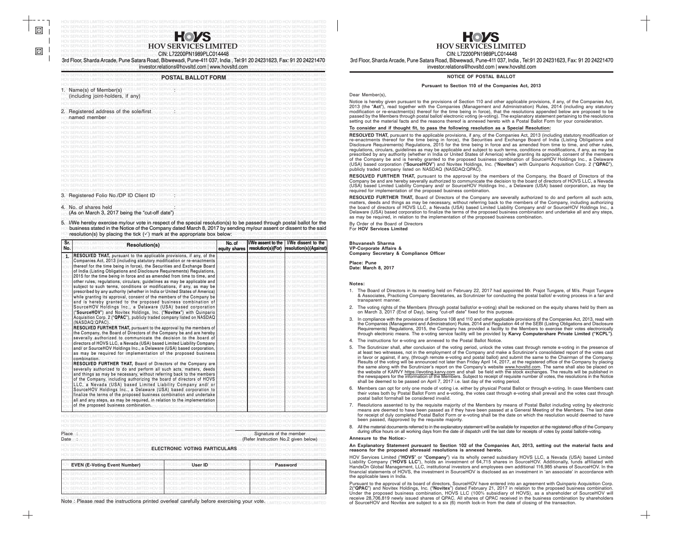### HOV SERVICES LIMITED HOV SERVICES LIMITED HOV SERVICES LIMITED HOV SERVICES LIMITED HOV SERVICES LIMITED HOV SERVICES LIMITED 4. No. of shares held

 $\boxtimes$ 

HOV **(As on March 3, 2017 being the "cut-off date")** S LIMITED HOV SERVICES LIMITED HOV SERVICES LIMITED HOV SERVICES LIMITED

5. I/We hereby exercise my/our vote in respect of the special resolution(s) to be passed through postal ballot for the ⊦⊙ business stated in the Notice of the Company dated March 8, 2017 by sending my/our assent or dissent to the said<br><sup>HOV</sup> resolution(s) by placing the tick (✓) mark at the appropriate box below:□□ HOV SERVICES LIMITED HO HOV resolution(s) by placing the tick ( $\checkmark$ ) mark at the appropriate box below: ED HOV SERVICES LIMITED HOV SERVICES LIMITED

HOV SERVICES LIMITED HOV SERVICES LIMITED HOV SERVICES LIMITED HOV SERVICES LIMITED HOV SERVICES LIMITED HOV SERVICES LIMITED HOV SERVICES LIMITED HOV SERVICES LIMITED HOV SERVICES LIMITED HOV SERVICES LIMITED HOV SERVICES LIMITED HOV SERVICES LIMITED Note : Please read the instructions printed overleaf carefully before exercising your vote.  $_{\rm LIMITED}$  hov services limited

| $\blacksquare(\bullet)$<br><b>HOV SERVICES HMITTED</b><br>CIN: L72200PN1989PLC014448<br>3rd Floor, Sharda Arcade, Pune Satara Road, Bibwewadi, Pune-411 037, India, Tel:91 20 24231623, Fax: 91 20 24221470<br>investor.relations@hovsltd.com   www.hovsltd.com |
|-----------------------------------------------------------------------------------------------------------------------------------------------------------------------------------------------------------------------------------------------------------------|
| <b>POSTAL BALLOT FORM</b>                                                                                                                                                                                                                                       |
|                                                                                                                                                                                                                                                                 |

Notice is hereby given pursuant to the provisions of Section 110 and other applicable provisions, if any, of the Companies Act,<br>2013 (the "Act"), read together with the Companies (Management and Administration) Bules, 2014 2013 (the "**Act**"), read together with the Companies (Management and Administration) Rules, 2014 (including any statutory modification or re-enactment(s) thereof for the time being in force), that the resolutions appended below are proposed to be passed by the Members through postal ballot/ electronic voting (e-voting). The explanatory statement pertaining to the resolutions setting out the material facts and the reasons thereof is annexed hereto with a Postal Ballot Form for your consideration.

| 1. Name(s) of Member(s) <b>NOSE LIMIT</b><br>(including joint-holders, if any)<br><b>ICES LIMITED</b>                                                                                                                             |  | <b>IMITED HOV SERVICES LIMITED HOV SERVICES LIMITED HOV SERVICES</b> |  |  |
|-----------------------------------------------------------------------------------------------------------------------------------------------------------------------------------------------------------------------------------|--|----------------------------------------------------------------------|--|--|
|                                                                                                                                                                                                                                   |  | <b>HOV SERVICES LIMITED HOV SERVICES LIMITED</b>                     |  |  |
|                                                                                                                                                                                                                                   |  |                                                                      |  |  |
|                                                                                                                                                                                                                                   |  |                                                                      |  |  |
| HOV SERVICES LIMITED HOV SERVICES LIMITED HOV SERVICES LIMITED HOV SERVICES LIMITED HOV SERVICES LIMITED HOV SERVICES<br>20 Registered, address of the sole/first ov services limited hov services limited hov services limited h |  |                                                                      |  |  |
|                                                                                                                                                                                                                                   |  |                                                                      |  |  |
| named member-lov SERVICES LIMITED HOV SERVICES LIMITED HOV SERVICES LIMITED HOV SERVIC                                                                                                                                            |  |                                                                      |  |  |
|                                                                                                                                                                                                                                   |  | MITED HOV SERVICES LIMITED HOV SERVICES LIMITED HOV SERVICES.        |  |  |
| ES LIMITED HOV SERVICES LIMITED HOV SERVICES LIMITED HOV SERVICES LIMITED HOV:                                                                                                                                                    |  |                                                                      |  |  |
|                                                                                                                                                                                                                                   |  | IMITED HOV SERVICES LIMITED HOV SERVICES LIMITED HOV SERVICES L      |  |  |
| 'SERVICES LIMITED HOV SERVICES LIMITED HOV SERVICES LIMITED HOV SERVICES LIMITED HOV                                                                                                                                              |  |                                                                      |  |  |
| CES LIMITED HOV SERVICES LIMITED HOV SERVICES LIMITED HOV SERVICES L                                                                                                                                                              |  |                                                                      |  |  |
| HOV SERVICES LIMITED HOV SERVICES LIMITED HOV SERVICES LIMITED HOV SERVICES LIMITED HOV                                                                                                                                           |  |                                                                      |  |  |
| CES LIMITED HOV SERVICES LIMITED HOV SERVICES LIMITED HOV SERVICES LIMIT                                                                                                                                                          |  |                                                                      |  |  |
| HOV SERVICES LIMITED HOV SERVICES LIMITED HOV SERVICES LIMITED HOV SERVICES LIMITED                                                                                                                                               |  |                                                                      |  |  |
| OV SERVICES LIMITED HOV SERVICES LIMITED HOV SERVICES LIMITED HOV SERVICES LIMITED                                                                                                                                                |  |                                                                      |  |  |
| HOV SERVICES LIMITED HOV SERVICES LIMITED HOV SERVICES LIMITED HOV SERVICES LIMITED HOV                                                                                                                                           |  |                                                                      |  |  |
| HOV SERVICES LIMITED HOV SERVICES LIMITED HOV SERVICES LIMITED HOV SERVICES LIMITED                                                                                                                                               |  |                                                                      |  |  |
| OV SERVICES LIMITED HOV SERVICES LIMITED HOV SERVICES LIMITED HOV SERVICES LIMITED                                                                                                                                                |  |                                                                      |  |  |
| SERVICES LIMITED HOV SERVICES LIMITED HOV SERVICES LIMITED HOV SERVICES                                                                                                                                                           |  |                                                                      |  |  |
| RES LIMITED HOV SERVICES LIMITED HOV SERVICES LIMITED                                                                                                                                                                             |  |                                                                      |  |  |
| OV SERVICES LIMITED HOV SERVICES LIMITED HOV SERVICES LIMITED HOV SERVIC                                                                                                                                                          |  |                                                                      |  |  |
| 3. Registered Folio No./DPID Client IDV SERVICES LIMITED HOV SERVICES LIMITED HOV SERVICES LIMITED HOV SERVIC                                                                                                                     |  |                                                                      |  |  |
|                                                                                                                                                                                                                                   |  |                                                                      |  |  |
|                                                                                                                                                                                                                                   |  |                                                                      |  |  |

- 1. The Board of Directors in its meeting held on February 22, 2017 had appointed Mr. Prajot Tungare, of M/s. Prajot Tungare & Associates, Practicing Company Secretaries, as Scrutinizer for conducting the postal ballot/ e-voting process in a fair and transparent manner.
- 2. The voting rights of the Members (through postal ballot/or e-voting) shall be reckoned on the equity shares held by them as on March 3, 2017 (End of Day), being "cut-off date" fixed for this purpose.
- 3. In compliance with the provisions of Sections 108 and 110 and other applicable provisions of the Companies Act, 2013, read with the Companies (Management and Administration) Rules, 2014 and Regulation 44 of the SEBI (Listing Obligations and Disclosure Requirements) Regulations, 2015, the Company has provided a facility to the Members to exercise their votes electronically through electronic means. The e-voting service facility will be provided by **Karvy Computershare Private Limited ("KCPL")**.
- 4. The instructions for e-voting are annexed to the Postal Ballot Notice.
- 5. The Scrutinizer shall, after conclusion of the voting period, unlock the votes cast through remote e-voting in the presence of at least two witnesses, not in the employment of the Company and make a Scrutinizer's consolidated report of the votes cast in favor or against, if any, (through remote e-voting and postal ballot) and submit the same to the Chairman of the Company. Results of the voting will be announced not later than Friday April 14, 2017, at the registered office of the Company by placing the same along with the Scrutinizer's report on the Company's website <u>www.hovsltd.com</u>. The same shall also be placed on the website of KARVY <u>https://evoting.karvy.com</u> and shall be field with the stock exchanges. The results will be published in the newspapers for the information of the Members. Subject to receipt of requisite number of votes, the resolutions in the Notice shall be deemed to be passed on April 7, 2017 i.e. last day of the voting period.
- 6. Members can opt for only one mode of voting i.e. either by physical Postal Ballot or through e-voting. In case Members cast their votes both by Postal Ballot Form and e-voting, the votes cast through e-voting shall prevail and the votes cast through postal ballot formshall be considered invalid.
- Resolutions assented to by the requisite majority of the Members by means of Postal Ballot including voting by electronic means are deemed to have been passed as if they have been passed at a General Meeting of the Members. The last date for receipt of duly completed Postal Ballot Form or e-voting shall be the date on which the resolution would deemed to have been passed, ifapproved by the requisite majority.
- All the material documents referred to in the explanatory statement will be available for inspection at the registered office of the Company during office hours on all working days from the date of dispatch until the last date for receipts of votes by postal ballot/e-voting.

HOV SERVICES LIMITED HOV SERVICES LIMITED HOV SERVICES LIMITED HOV SERVICES LIMITED HOV SERVICES LIMITED HOV SERVICES LIMITED

**NOTICE OF POSTAL BALLOT**

### **Pursuant to Section 110 of the Companies Act, 2013**

Dear Member(s),

### **To consider and if thought fit, to pass the following resolution as a Special Resolution:**

| ۱Sr.<br>No. | <b>Resolution(s)</b>                                                                                                                                  | No. of<br>equity shares | <b>H/We assent to the</b><br>resolution(s)(For) | I/We dissent to the<br>resolution(s)(Against) |
|-------------|-------------------------------------------------------------------------------------------------------------------------------------------------------|-------------------------|-------------------------------------------------|-----------------------------------------------|
| id.         | <b>RESOLVED THAT, pursuant to the applicable provisions, if any, of the</b><br>Companies Act, 2013 (including statutory modification or re-enactments |                         |                                                 |                                               |
|             | thereof for the time being in force), the Securities and Exchange Board                                                                               |                         |                                                 |                                               |
|             | of India (Listing Obligations and Disclosure Requirements) Regulations,                                                                               |                         |                                                 |                                               |
|             | 2015 for the time being in force and as amended from time to time, and                                                                                |                         |                                                 |                                               |
|             | other rules, regulations, circulars, guidelines as may be applicable and                                                                              |                         |                                                 |                                               |
|             |                                                                                                                                                       |                         |                                                 |                                               |
|             | subject to such terms, conditions or modifications, if any, as may be                                                                                 |                         |                                                 |                                               |
|             | prescribed by any authority (whether in India or United States of America)                                                                            |                         |                                                 |                                               |
|             | while granting its approval, consent of the members of the Company be                                                                                 |                         |                                                 |                                               |
|             | and is hereby granted to the proposed business combination of                                                                                         |                         |                                                 |                                               |
|             | SourceHOV Holdings Inc., a Delaware (USA) based corporation                                                                                           |                         |                                                 |                                               |
|             | ("SourceHOV") and Novitex Holdings, Inc. ("Novitex") with Quinpario                                                                                   |                         |                                                 |                                               |
|             | Acquisition Corp. 2 ("QPAC"), publicly traded company listed on NASDAQ                                                                                |                         |                                                 |                                               |
|             | (NASDAQ:QPAC).                                                                                                                                        |                         |                                                 |                                               |
|             | RESOLVED FURTHER THAT, pursuant to the approval by the members of                                                                                     |                         |                                                 |                                               |
|             | the Company, the Board of Directors of the Company be and are hereby                                                                                  |                         |                                                 |                                               |
|             | severally authorized to communicate the decision to the board of                                                                                      |                         |                                                 |                                               |
|             | directors of HOVS LLC, a Nevada (USA) based Limited Liability Company                                                                                 |                         |                                                 |                                               |
|             | and/ or SourceHOV Holdings Inc., a Delaware (USA) based corporation,                                                                                  |                         |                                                 |                                               |
|             | as may be required for implementation of the proposed business                                                                                        |                         |                                                 |                                               |
|             | combination ED HOV SERVICES LIMITED HOV                                                                                                               |                         |                                                 |                                               |
|             | <b>RESOLVED FURTHER THAT, Board of Directors of the Company are</b>                                                                                   |                         |                                                 |                                               |
|             | severally authorized to do and perform all such acts, matters, deeds                                                                                  |                         |                                                 |                                               |
|             | and things as may be necessary, without referring back to the members                                                                                 |                         |                                                 |                                               |
|             | of the Company, including authorizing the board of directors of HOVS                                                                                  |                         |                                                 |                                               |
|             | LLC, a Nevada (USA) based Limited Liability Company and/ or                                                                                           |                         |                                                 |                                               |
|             | SourceHOV Holdings Inc., a Delaware (USA) based corporation to                                                                                        |                         |                                                 |                                               |
|             | finalize the terms of the proposed business combination and undertake                                                                                 |                         |                                                 |                                               |
|             | all and any steps, as may be required, in relation to the implementation                                                                              |                         |                                                 |                                               |
|             | of the proposed business combination.                                                                                                                 |                         |                                                 |                                               |
|             |                                                                                                                                                       |                         |                                                 |                                               |
|             |                                                                                                                                                       |                         |                                                 |                                               |

**RESOLVED THAT,** pursuant to the applicable provisions, if any, of the Companies Act, 2013 (including statutory modification or re-enactments thereof for the time being in force), the Securities and Exchange Board of India (Listing Obligations and Disclosure Requirements) Regulations, 2015 for the time being in force and as amended from time to time, and other rules, regulations, circulars, guidelines as may be applicable and subject to such terms, conditions or modifications, if any, as may be prescribed by any authority (whether in India or United States of America) while granting its approval, consent of the members of the Company be and is hereby granted to the proposed business combination of SourceHOV Holdings Inc., a Delaware (USA) based corporation ("**SourceHOV**") and Novitex Holdings, Inc. ("**Novitex**") with Quinpario Acquisition Corp. 2 ("**QPAC**"), publicly traded company listed on NASDAQ (NASDAQ:QPAC).

**RESOLVED FURTHER THAT,** pursuant to the approval by the members of the Company, the Board of Directors of the Company be and are hereby severally authorized to communicate the decision to the board of directors of HOVS LLC, a Nevada (USA) based Limited Liability Company and/ or SourceHOV Holdings Inc., a Delaware (USA) based corporation, as may be required for implementation of the proposed business combination.

| Place                                | Signature of the member              |
|--------------------------------------|--------------------------------------|
| Date                                 | (Refer Instruction No.2 given below) |
|                                      |                                      |
| <b>ELECTRONIC VOTING PARTICULARS</b> |                                      |
|                                      |                                      |
|                                      |                                      |
| User ID                              |                                      |
| <b>EVEN (E-Voting Event Number)</b>  | Password                             |
|                                      |                                      |
|                                      |                                      |
|                                      |                                      |
|                                      |                                      |
|                                      |                                      |

**RESOLVED FURTHER THAT,** Board of Directors of the Company are severally authorized to do and perform all such acts, matters, deeds and things as may be necessary, without referring back to the members of the Company, including authorizing the board of directors of HOVS LLC, a Nevada (USA) based Limited Liability Company and/ or SourceHOV Holdings Inc., a Delaware (USA) based corporation to finalize the terms of the proposed business combination and undertake all and any steps, as may be required, in relation to the implementation of the proposed business combination.

By Order of the Board of Directors For **HOV Services Limited**

### **Bhuvanesh Sharma VP-Corporate Affairs & Company Secretary & Compliance Officer**

**Place: Pune Date: March 8, 2017**

### **Notes:**

### **Annexure to the Notice:-**

### **An Explanatory Statement pursuant to Section 102 of the Companies Act, 2013, setting out the material facts and reasons for the proposed aforesaid resolutions is annexed hereto.**

HOV Services Limited ("**HOVS**" or "**Company**") via its wholly owned subsidiary HOVS LLC, a Nevada (USA) based Limited Liability Company ("**HOVS LLC**"), holds an investment of 64,715 shares in SourceHOV. Additionally, funds affiliated with HandsOn Global Management, LLC, institutional investors and employees own additional 116,985 shares of SourceHOV. In the<br>financial statements of HOVS, the investment in SourceHOV is disclosed as an investment in 'an associ the applicable laws in India.

Pursuant to the approval of its board of directors, SourceHOV have entered into an agreement with Quinpario Acquisition Corp. 2("**QPAC**") and Novitex Holdings, Inc. ("**Novitex**") dated February 21, 2017 in relation to the proposed business combination. Under the proposed business combination, HOVS LLC (100% subsidiary of HOVS), as a shareholder of SourceHOV will receive 28,706,819 newly issued shares of QPAC. All shares of QPAC received in the business combination by shareholders of SourceHOV and Novitex are subject to a six (6) month lock-in from the date of closing of the transaction.

H S **HOV SERVICES LIMITED**

CIN: L72200PN1989PLC014448

3rd Floor, Sharda Arcade, Pune Satara Road, Bibwewadi, Pune-411 037, India , Tel:91 20 24231623, Fax: 91 20 24221470 investor.relations@hovsltd.com | www.hovsltd.com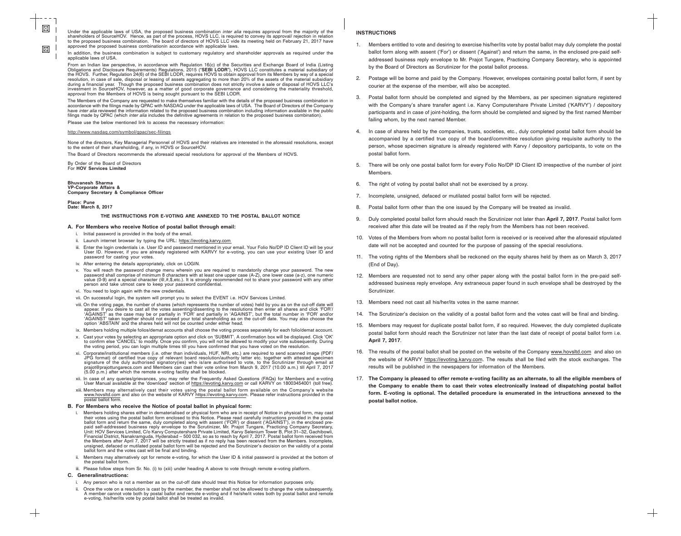## **INSTRUCTIONS**

- 1. Members entitled to vote and desiring to exercise his/her/its vote by postal ballot may duly complete the postal ballot form along with assent ('For') or dissent ('Against') and return the same, in the enclosed pre-paid selfaddressed business reply envelope to Mr. Prajot Tungare, Practicing Company Secretary, who is appointed by the Board of Directors as Scrutinizer for the postal ballot process.
- 2. Postage will be borne and paid by the Company. However, envelopes containing postal ballot form, if sent by courier at the expense of the member, will also be accepted.
- 3. Postal ballot form should be completed and signed by the Members, as per specimen signature registered with the Company's share transfer agent i.e. Karvy Computershare Private Limited ('KARVY') / depository participants and in case of joint-holding, the form should be completed and signed by the first named Member failing whom, by the next named Member.
- 4. In case of shares held by the companies, trusts, societies, etc., duly completed postal ballot form should be accompanied by a certified true copy of the board/committee resolution giving requisite authority to the person, whose specimen signature is already registered with Karvy / depository participants, to vote on the postal ballot form.
- 5. There will be only one postal ballot form for every Folio No/DP ID Client ID irrespective of the number of joint Members.
- 6. The right of voting by postal ballot shall not be exercised by a proxy.
- 7. Incomplete, unsigned, defaced or mutilated postal ballot form will be rejected.
- 8. Postal ballot form other than the one issued by the Company will be treated as invalid.
- 9. Duly completed postal ballot form should reach the Scrutinizer not later than **April 7, 2017**. Postal ballot form received after this date will be treated as if the reply from the Members has not been received.
- 10. Votes of the Members from whom no postal ballot form is received or is received after the aforesaid stipulated date will not be accepted and counted for the purpose of passing of the special resolutions.
- 11. The voting rights of the Members shall be reckoned on the equity shares held by them as on March 3, 2017 (End of Day).
- 12. Members are requested not to send any other paper along with the postal ballot form in the pre-paid selfaddressed business reply envelope. Any extraneous paper found in such envelope shall be destroyed by the Scrutinizer.
- 13. Members need not cast all his/her/its votes in the same manner.
- 14. The Scrutinizer's decision on the validity of a postal ballot form and the votes cast will be final and binding.
- 15. Members may request for duplicate postal ballot form, if so required. However, the duly completed duplicate postal ballot form should reach the Scrutinizer not later than the last date of receipt of postal ballot form i.e. **April 7, 2017**.
- 16. The results of the postal ballot shall be posted on the website of the Company www.hovsltd.com and also on the website of KARVY https://evoting.karvy.com. The results shall be filed with the stock exchanges. The results will be published in the newspapers for information of the Members.
- 17. **The Company is pleased to offer remote e-voting facility as an alternate, to all the eligible members of the Company to enable them to cast their votes electronically instead of dispatching postal ballot form. E-voting is optional. The detailed procedure is enumerated in the intructions annexed to the postal ballot notice.**

 $\boxtimes$  $\boxtimes$ 

Under the applicable laws of USA, the proposed business combination inter alia requires approval from the majority of the shareholders of SourceHOV. Hence, as part of the process, HOVS LLC, is required to convey its approval/ rejection in relation to the proposed business combination. The board of directors of HOVS LLC vide its meeting held on February 21, 2017 have approved the proposed business combinationin accordance with applicable laws.

The Members of the Company are requested to make themselves familiar with the details of the proposed business combination in accordance with the filings made by QPAC with NASDAQ under the applicable laws of USA. The Board of Directors of the Company have inter alia reviewed the information related to the proposed business combination including information available in the public filings made by QPAC (which inter alia includes the definitive agreements in relation to the proposed business combination)

In addition, the business combination is subject to customary regulatory and shareholder approvals as required under the applicable laws of USA.

From an Indian law perspective, in accordance with Regulation 16(c) of the Securities and Exchange Board of India (Listing Obligations and Disclosure Requirements) Regulations, 2015 ("**SEBI LODR**"), HOVS LLC constitutes a material subsidiary of the HOVS. Further, Regulation 24(6) of the SEBI LODR, requires HOVS to obtain approval from its Members by way of a special resolution, in case of sale, disposal or leasing of assets aggregating to more than 20% of the assets of the material subsidiary during a financial year. Though the proposed business combination does not strictly involve a sale or disposal of HOVS LLC's investment in SourceHOV, however, as a matter of good corporate governance and considering the materiality threshold, approval from the Members of HOVS is being sought pursuant to the SEBI LODR.

Please use the below mentioned link to access the necessary information:

## http://www.nasdaq.com/symbol/qpac/sec-filings

- Any person who is not a member as on the cut-off date should treat this Notice for information purposes only.
- ii. Once the vote on a resolution is cast by the member, the member shall not be allowed to change the vote subsequently. A member cannot vote both by postal ballot and remote e-voting and if he/she/it votes both by postal ballot and remote e-voting, his/her/its vote by postal ballot shall be treated as invalid.

None of the directors, Key Managerial Personnel of HOVS and their relatives are interested in the aforesaid resolutions, except to the extent of their shareholding, if any, in HOVS or SourceHOV.

The Board of Directors recommends the aforesaid special resolutions for approval of the Members of HOVS.

By Order of the Board of Directors For **HOV Services Limited**

### **Bhuvanesh Sharma VP-Corporate Affairs & Company Secretary & Compliance Officer**

**Place: Pune Date: March 8, 2017**

**THE INSTRUCTIONS FOR E-VOTING ARE ANNEXED TO THE POSTAL BALLOT NOTICE**

### **A. For Members who receive Notice of postal ballot through email:**

- i. Initial password is provided in the body of the email.
- ii. Launch internet browser by typing the URL: https://evoting.karvy.com
- iii. Enter the login credentials i.e. User ID and password mentioned in your email. Your Folio No/DP ID Client ID will be your User ID. However, if you are already registered with KARVY for e-voting, you can use your existing User ID and password for casting your votes.
- iv. After entering the details appropriately, click on LOGIN.
- v. You will reach the password change menu wherein you are required to mandatorily change your password. The new password shall comprise of minimum 8 characters with at least one upper case (A-Z), one lower case (a-z), one numeric value (0-9) and a special character (@,#,\$,etc.). It is strongly recommended not to share your password with any other person and take utmost care to keep your password confidential.
- vi. You need to login again with the new credentials.
- vii. On successful login, the system will prompt you to select the EVENT i.e. HOV Services Limited.
- viii. On the voting page, the number of shares (which represents the number of votes) held by you as on the cut-off date will appear. If you desire to cast all the votes assenting/dissenting to the resolutions then enter all shares and click 'FOR'/ 'AGAINST' as the case may be or partially in 'FOR' and partially in 'AGAINST', but the total number in 'FOR' and/or 'AGAINST' taken together should not exceed your total shareholding as on the cut-off date. You may also choose the option 'ABSTAIN' and the shares held will not be counted under either head.
- ix. Members holding multiple folios/demat accounts shall choose the voting process separately for each folio/demat account.
- x. Cast your votes by selecting an appropriate option and click on 'SUBMIT'. A confirmation box will be displayed. Click 'OK' to confirm else 'CANCEL' to modify. Once you confirm, you will not be allowed to modify your vote subsequently. During the voting period, you can login multiple times till you have confirmed that you have voted on the resolution.
- xi. Corporate/institutional members (i.e. other than individuals, HUF, NRI, etc.) are required to send scanned image (PDF/ JPG format) of certified true copy of relevant board resolution/authority letter etc. together with attested specimen signature of the duly authorised signatory(ies) who is/are authorised to vote, to the Scrutinizer through email at prajot@prajottungarecs.com and Members can cast their vote online from March 9, 2017 (10.00 a.m.) till April 7, 2017 (5.00 p.m.) after which the remote e-voting facility shall be blocked.
- xii. In case of any queries/grievances, you may refer the Frequently Asked Questions (FAQs) for Members and e-voting User Manual available at the 'download' section of https://evoting.karvy.com or call KARVY on 18003454001 (toll free)
- xiii. Members may alternatively cast their votes using the postal ballot form available on the Company's website www.hovsltd.com and also on the website of KARVY https://evoting.karvy.com. Please refer instructions provided in the postal ballot form.

## **B. For Members who receive the Notice of postal ballot in physical form:**

- i. Members holding shares either in dematerialised or physical form who are in receipt of Notice in physical form, may cast their votes using the postal ballot form enclosed to this Notice. Please read carefully instructions provided in the postal ballot form and return the same, duly completed along with assent ('FOR') or dissent ('AGAINST'), in the enclosed prepaid self-addressed business reply envelope to the Scrutinizer, Mr. Prajot Tungare, Practicing Company Secretary, Unit: HOV Services Limited, C/o Karvy Computershare Private Limited, Karvy Selenium Tower B, Plot 31–32, Gachibowli, Financial District, Nanakramguda, Hyderabad – 500 032, so as to reach by April 7, 2017. Postal ballot form received from the Members after April 7, 2017 will be strictly treated as if no reply has been received from the Members. Incomplete, unsigned, defaced or mutilated postal ballot form will be rejected and the Scrutinizer's decision on the validity of a postal ballot form and the votes cast will be final and binding.
- Members may alternatively opt for remote e-voting, for which the User ID & initial password is provided at the bottom of the postal ballot form.
- iii. Please follow steps from Sr. No. (i) to (xiii) under heading A above to vote through remote e-voting platform.

## **C. Generalinstructions:**